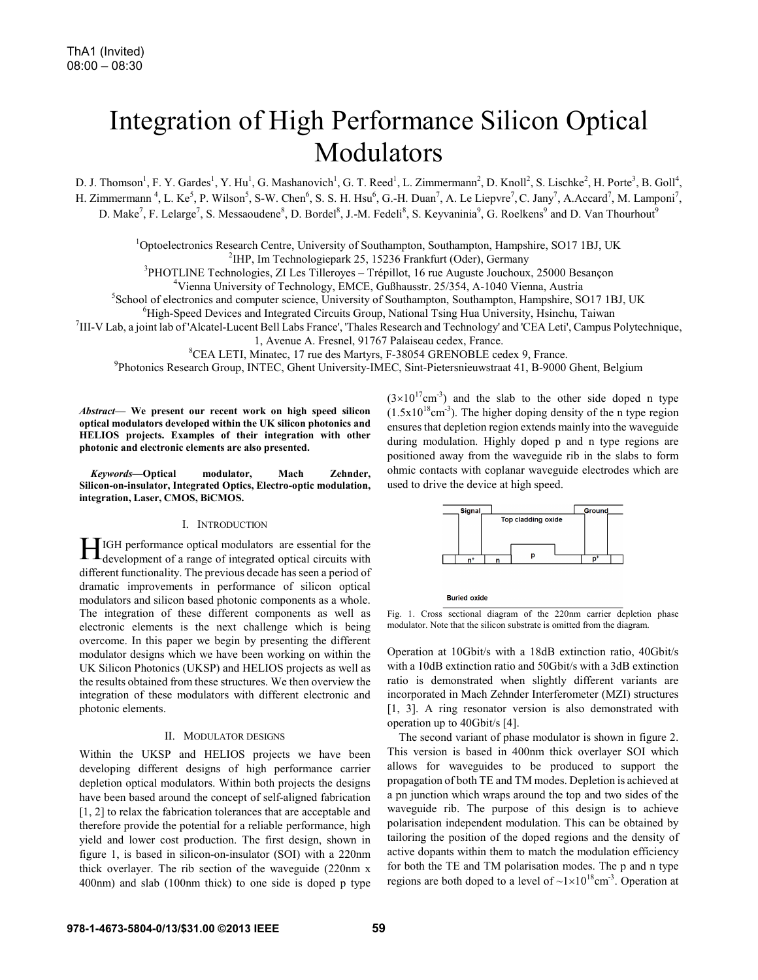# Integration of High Performance Silicon Optical Modulators

D. J. Thomson<sup>1</sup>, F. Y. Gardes<sup>1</sup>, Y. Hu<sup>1</sup>, G. Mashanovich<sup>1</sup>, G. T. Reed<sup>1</sup>, L. Zimmermann<sup>2</sup>, D. Knoll<sup>2</sup>, S. Lischke<sup>2</sup>, H. Porte<sup>3</sup>, B. Goll<sup>4</sup>, H. Zimmermann<sup>4</sup>, L. Ke<sup>5</sup>, P. Wilson<sup>5</sup>, S-W. Chen<sup>6</sup>, S. S. H. Hsu<sup>6</sup>, G.-H. Duan<sup>7</sup>, A. Le Liepvre<sup>7</sup>, C. Jany<sup>7</sup>, A. Accard<sup>7</sup>, M. Lamponi<sup>7</sup>, D. Make<sup>7</sup>, F. Lelarge<sup>7</sup>, S. Messaoudene<sup>8</sup>, D. Bordel<sup>8</sup>, J.-M. Fedeli<sup>8</sup>, S. Keyvaninia<sup>9</sup>, G. Roelkens<sup>9</sup> and D. Van Thourhout<sup>9</sup>

<sup>1</sup>Optoelectronics Research Centre, University of Southampton, Southampton, Hampshire, SO17 1BJ, UK <sup>2</sup>HB Im Technologionary 25, 15236 Frankfurt (Odar), Germany

<sup>2</sup> IHP, Im Technologiepark 25, 15236 Frankfurt (Oder), Germany<br><sup>3</sup> BHOTH INE Technologies, ZH as Tillerayes. Trápillot, 16 rue Augusta Jouchaux

PHOTLINE Technologies, ZI Les Tilleroyes – Trépillot, 16 rue Auguste Jouchoux, 25000 Besançon<br><sup>4</sup>Vienne University of Technology, EMCE, Gußbausstr, 25/254, A 1040 Vienne, Austrie

<sup>4</sup>Vienna University of Technology, EMCE, Gußhausstr. 25/354, A-1040 Vienna, Austria

<sup>5</sup>School of electronics and computer science, University of Southampton, Southampton, Hampshire, SO17 1BJ, UK

<sup>6</sup>High-Speed Devices and Integrated Circuits Group, National Tsing Hua University, Hsinchu, Taiwan

III-V Lab, a joint lab of 'Alcatel-Lucent Bell Labs France', 'Thales Research and Technology' and 'CEA Leti', Campus Polytechnique,

1, Avenue A. Fresnel, 91767 Palaiseau cedex, France.

 ${}^{8}$ CEA LETI, Minatec, 17 rue des Martyrs, F-38054 GRENOBLE cedex 9, France.

Photonics Research Group, INTEC, Ghent University-IMEC, Sint-Pietersnieuwstraat 41, B-9000 Ghent, Belgium

*Abstract***— We present our recent work on high speed silicon optical modulators developed within the UK silicon photonics and HELIOS projects. Examples of their integration with other photonic and electronic elements are also presented.** 

*Keywords***—Optical modulator, Mach Zehnder, Silicon-on-insulator, Integrated Optics, Electro-optic modulation, integration, Laser, CMOS, BiCMOS.** 

## I. INTRODUCTION

IGH performance optical modulators are essential for the HGH performance optical modulators are essential for the development of a range of integrated optical circuits with different functionality. The previous decade has seen a period of dramatic improvements in performance of silicon optical modulators and silicon based photonic components as a whole. The integration of these different components as well as electronic elements is the next challenge which is being overcome. In this paper we begin by presenting the different modulator designs which we have been working on within the UK Silicon Photonics (UKSP) and HELIOS projects as well as the results obtained from these structures. We then overview the integration of these modulators with different electronic and photonic elements.

#### II. MODULATOR DESIGNS

Within the UKSP and HELIOS projects we have been developing different designs of high performance carrier depletion optical modulators. Within both projects the designs have been based around the concept of self-aligned fabrication [1, 2] to relax the fabrication tolerances that are acceptable and therefore provide the potential for a reliable performance, high yield and lower cost production. The first design, shown in figure 1, is based in silicon-on-insulator (SOI) with a 220nm thick overlayer. The rib section of the waveguide (220nm x 400nm) and slab (100nm thick) to one side is doped p type  $(3\times10^{17} \text{cm}^{-3})$  and the slab to the other side doped n type  $(1.5x10^{18}cm^{-3})$ . The higher doping density of the n type region ensures that depletion region extends mainly into the waveguide during modulation. Highly doped p and n type regions are positioned away from the waveguide rib in the slabs to form ohmic contacts with coplanar waveguide electrodes which are used to drive the device at high speed.



**Buried oxide** 

Fig. 1. Cross sectional diagram of the 220nm carrier depletion phase modulator. Note that the silicon substrate is omitted from the diagram.

Operation at 10Gbit/s with a 18dB extinction ratio, 40Gbit/s with a 10dB extinction ratio and 50Gbit/s with a 3dB extinction ratio is demonstrated when slightly different variants are incorporated in Mach Zehnder Interferometer (MZI) structures [1, 3]. A ring resonator version is also demonstrated with operation up to 40Gbit/s [4].

 The second variant of phase modulator is shown in figure 2. This version is based in 400nm thick overlayer SOI which allows for waveguides to be produced to support the propagation of both TE and TM modes. Depletion is achieved at a pn junction which wraps around the top and two sides of the waveguide rib. The purpose of this design is to achieve polarisation independent modulation. This can be obtained by tailoring the position of the doped regions and the density of active dopants within them to match the modulation efficiency for both the TE and TM polarisation modes. The p and n type regions are both doped to a level of  $\sim 1 \times 10^{18}$ cm<sup>-3</sup>. Operation at